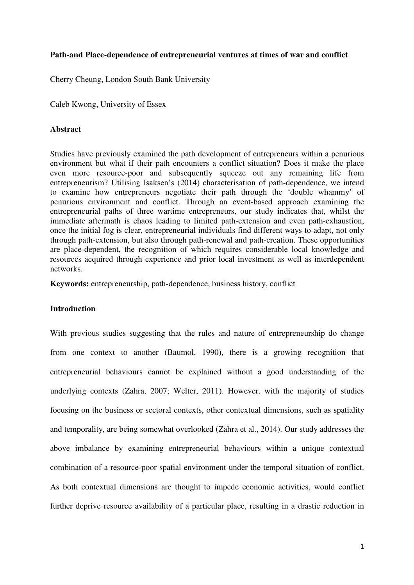## **Path-and Place-dependence of entrepreneurial ventures at times of war and conflict**

Cherry Cheung, London South Bank University

Caleb Kwong, University of Essex

### **Abstract**

Studies have previously examined the path development of entrepreneurs within a penurious environment but what if their path encounters a conflict situation? Does it make the place even more resource-poor and subsequently squeeze out any remaining life from entrepreneurism? Utilising Isaksen's (2014) characterisation of path-dependence, we intend to examine how entrepreneurs negotiate their path through the 'double whammy' of penurious environment and conflict. Through an event-based approach examining the entrepreneurial paths of three wartime entrepreneurs, our study indicates that, whilst the immediate aftermath is chaos leading to limited path-extension and even path-exhaustion, once the initial fog is clear, entrepreneurial individuals find different ways to adapt, not only through path-extension, but also through path-renewal and path-creation. These opportunities are place-dependent, the recognition of which requires considerable local knowledge and resources acquired through experience and prior local investment as well as interdependent networks.

**Keywords:** entrepreneurship, path-dependence, business history, conflict

### **Introduction**

With previous studies suggesting that the rules and nature of entrepreneurship do change from one context to another (Baumol, 1990), there is a growing recognition that entrepreneurial behaviours cannot be explained without a good understanding of the underlying contexts (Zahra, 2007; Welter, 2011). However, with the majority of studies focusing on the business or sectoral contexts, other contextual dimensions, such as spatiality and temporality, are being somewhat overlooked (Zahra et al., 2014). Our study addresses the above imbalance by examining entrepreneurial behaviours within a unique contextual combination of a resource-poor spatial environment under the temporal situation of conflict. As both contextual dimensions are thought to impede economic activities, would conflict further deprive resource availability of a particular place, resulting in a drastic reduction in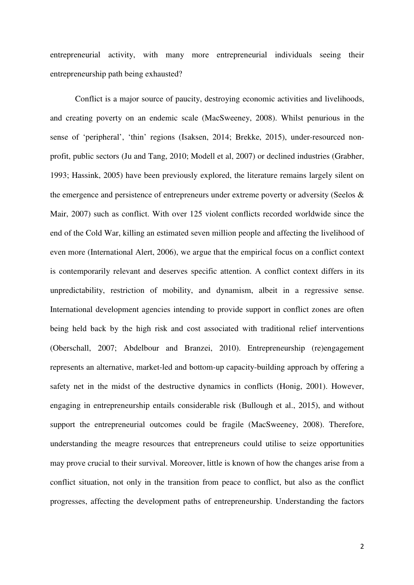entrepreneurial activity, with many more entrepreneurial individuals seeing their entrepreneurship path being exhausted?

Conflict is a major source of paucity, destroying economic activities and livelihoods, and creating poverty on an endemic scale (MacSweeney, 2008). Whilst penurious in the sense of 'peripheral', 'thin' regions (Isaksen, 2014; Brekke, 2015), under-resourced nonprofit, public sectors (Ju and Tang, 2010; Modell et al, 2007) or declined industries (Grabher, 1993; Hassink, 2005) have been previously explored, the literature remains largely silent on the emergence and persistence of entrepreneurs under extreme poverty or adversity (Seelos & Mair, 2007) such as conflict. With over 125 violent conflicts recorded worldwide since the end of the Cold War, killing an estimated seven million people and affecting the livelihood of even more (International Alert, 2006), we argue that the empirical focus on a conflict context is contemporarily relevant and deserves specific attention. A conflict context differs in its unpredictability, restriction of mobility, and dynamism, albeit in a regressive sense. International development agencies intending to provide support in conflict zones are often being held back by the high risk and cost associated with traditional relief interventions (Oberschall, 2007; Abdelbour and Branzei, 2010). Entrepreneurship (re)engagement represents an alternative, market-led and bottom-up capacity-building approach by offering a safety net in the midst of the destructive dynamics in conflicts (Honig, 2001). However, engaging in entrepreneurship entails considerable risk (Bullough et al., 2015), and without support the entrepreneurial outcomes could be fragile (MacSweeney, 2008). Therefore, understanding the meagre resources that entrepreneurs could utilise to seize opportunities may prove crucial to their survival. Moreover, little is known of how the changes arise from a conflict situation, not only in the transition from peace to conflict, but also as the conflict progresses, affecting the development paths of entrepreneurship. Understanding the factors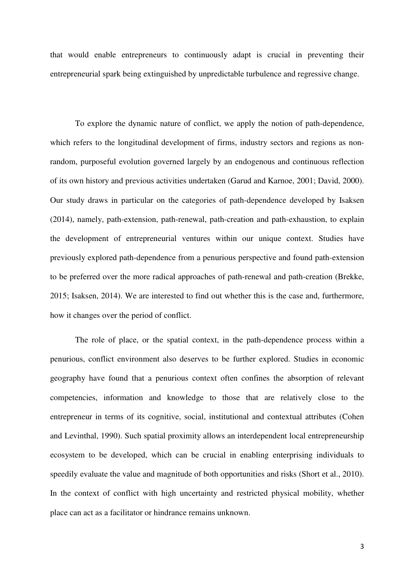that would enable entrepreneurs to continuously adapt is crucial in preventing their entrepreneurial spark being extinguished by unpredictable turbulence and regressive change.

To explore the dynamic nature of conflict, we apply the notion of path-dependence, which refers to the longitudinal development of firms, industry sectors and regions as nonrandom, purposeful evolution governed largely by an endogenous and continuous reflection of its own history and previous activities undertaken (Garud and Karnoe, 2001; David, 2000). Our study draws in particular on the categories of path-dependence developed by Isaksen (2014), namely, path-extension, path-renewal, path-creation and path-exhaustion, to explain the development of entrepreneurial ventures within our unique context. Studies have previously explored path-dependence from a penurious perspective and found path-extension to be preferred over the more radical approaches of path-renewal and path-creation (Brekke, 2015; Isaksen, 2014). We are interested to find out whether this is the case and, furthermore, how it changes over the period of conflict.

The role of place, or the spatial context, in the path-dependence process within a penurious, conflict environment also deserves to be further explored. Studies in economic geography have found that a penurious context often confines the absorption of relevant competencies, information and knowledge to those that are relatively close to the entrepreneur in terms of its cognitive, social, institutional and contextual attributes (Cohen and Levinthal, 1990). Such spatial proximity allows an interdependent local entrepreneurship ecosystem to be developed, which can be crucial in enabling enterprising individuals to speedily evaluate the value and magnitude of both opportunities and risks (Short et al., 2010). In the context of conflict with high uncertainty and restricted physical mobility, whether place can act as a facilitator or hindrance remains unknown.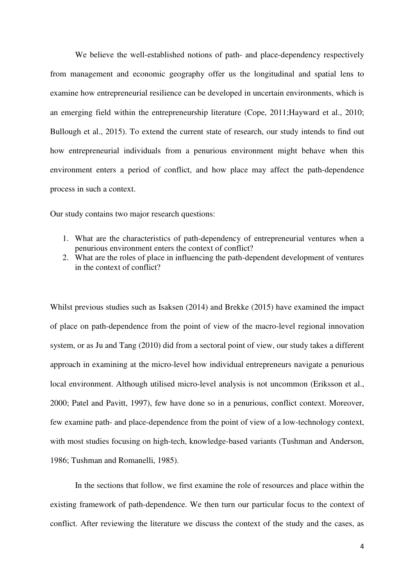We believe the well-established notions of path- and place-dependency respectively from management and economic geography offer us the longitudinal and spatial lens to examine how entrepreneurial resilience can be developed in uncertain environments, which is an emerging field within the entrepreneurship literature (Cope, 2011;Hayward et al., 2010; Bullough et al., 2015). To extend the current state of research, our study intends to find out how entrepreneurial individuals from a penurious environment might behave when this environment enters a period of conflict, and how place may affect the path-dependence process in such a context.

Our study contains two major research questions:

- 1. What are the characteristics of path-dependency of entrepreneurial ventures when a penurious environment enters the context of conflict?
- 2. What are the roles of place in influencing the path-dependent development of ventures in the context of conflict?

Whilst previous studies such as Isaksen (2014) and Brekke (2015) have examined the impact of place on path-dependence from the point of view of the macro-level regional innovation system, or as Ju and Tang (2010) did from a sectoral point of view, our study takes a different approach in examining at the micro-level how individual entrepreneurs navigate a penurious local environment. Although utilised micro-level analysis is not uncommon (Eriksson et al., 2000; Patel and Pavitt, 1997), few have done so in a penurious, conflict context. Moreover, few examine path- and place-dependence from the point of view of a low-technology context, with most studies focusing on high-tech, knowledge-based variants (Tushman and Anderson, 1986; Tushman and Romanelli, 1985).

In the sections that follow, we first examine the role of resources and place within the existing framework of path-dependence. We then turn our particular focus to the context of conflict. After reviewing the literature we discuss the context of the study and the cases, as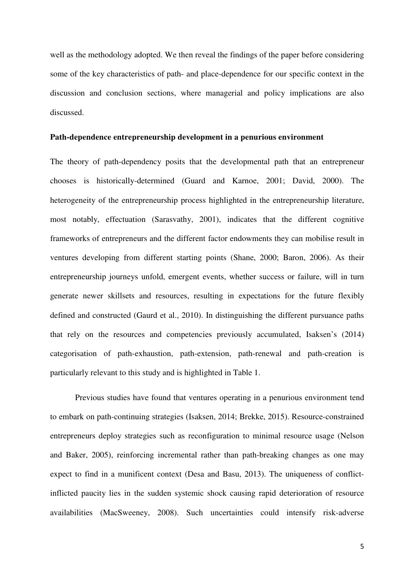well as the methodology adopted. We then reveal the findings of the paper before considering some of the key characteristics of path- and place-dependence for our specific context in the discussion and conclusion sections, where managerial and policy implications are also discussed.

### **Path-dependence entrepreneurship development in a penurious environment**

The theory of path-dependency posits that the developmental path that an entrepreneur chooses is historically-determined (Guard and Karnoe, 2001; David, 2000). The heterogeneity of the entrepreneurship process highlighted in the entrepreneurship literature, most notably, effectuation (Sarasvathy, 2001), indicates that the different cognitive frameworks of entrepreneurs and the different factor endowments they can mobilise result in ventures developing from different starting points (Shane, 2000; Baron, 2006). As their entrepreneurship journeys unfold, emergent events, whether success or failure, will in turn generate newer skillsets and resources, resulting in expectations for the future flexibly defined and constructed (Gaurd et al., 2010). In distinguishing the different pursuance paths that rely on the resources and competencies previously accumulated, Isaksen's (2014) categorisation of path-exhaustion, path-extension, path-renewal and path-creation is particularly relevant to this study and is highlighted in Table 1.

Previous studies have found that ventures operating in a penurious environment tend to embark on path-continuing strategies (Isaksen, 2014; Brekke, 2015). Resource-constrained entrepreneurs deploy strategies such as reconfiguration to minimal resource usage (Nelson and Baker, 2005), reinforcing incremental rather than path-breaking changes as one may expect to find in a munificent context (Desa and Basu, 2013). The uniqueness of conflictinflicted paucity lies in the sudden systemic shock causing rapid deterioration of resource availabilities (MacSweeney, 2008). Such uncertainties could intensify risk-adverse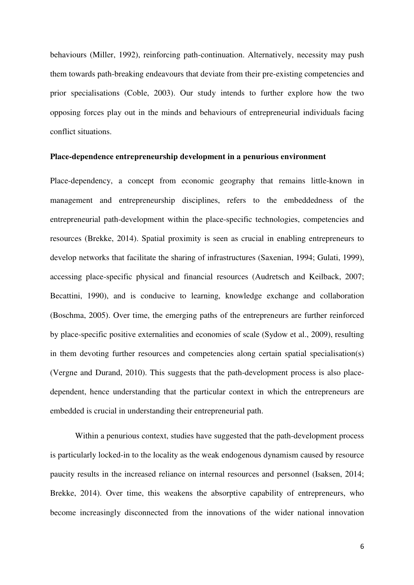behaviours (Miller, 1992), reinforcing path-continuation. Alternatively, necessity may push them towards path-breaking endeavours that deviate from their pre-existing competencies and prior specialisations (Coble, 2003). Our study intends to further explore how the two opposing forces play out in the minds and behaviours of entrepreneurial individuals facing conflict situations.

## **Place-dependence entrepreneurship development in a penurious environment**

Place-dependency, a concept from economic geography that remains little-known in management and entrepreneurship disciplines, refers to the embeddedness of the entrepreneurial path-development within the place-specific technologies, competencies and resources (Brekke, 2014). Spatial proximity is seen as crucial in enabling entrepreneurs to develop networks that facilitate the sharing of infrastructures (Saxenian, 1994; Gulati, 1999), accessing place-specific physical and financial resources (Audretsch and Keilback, 2007; Becattini, 1990), and is conducive to learning, knowledge exchange and collaboration (Boschma, 2005). Over time, the emerging paths of the entrepreneurs are further reinforced by place-specific positive externalities and economies of scale (Sydow et al., 2009), resulting in them devoting further resources and competencies along certain spatial specialisation(s) (Vergne and Durand, 2010). This suggests that the path-development process is also placedependent, hence understanding that the particular context in which the entrepreneurs are embedded is crucial in understanding their entrepreneurial path.

Within a penurious context, studies have suggested that the path-development process is particularly locked-in to the locality as the weak endogenous dynamism caused by resource paucity results in the increased reliance on internal resources and personnel (Isaksen, 2014; Brekke, 2014). Over time, this weakens the absorptive capability of entrepreneurs, who become increasingly disconnected from the innovations of the wider national innovation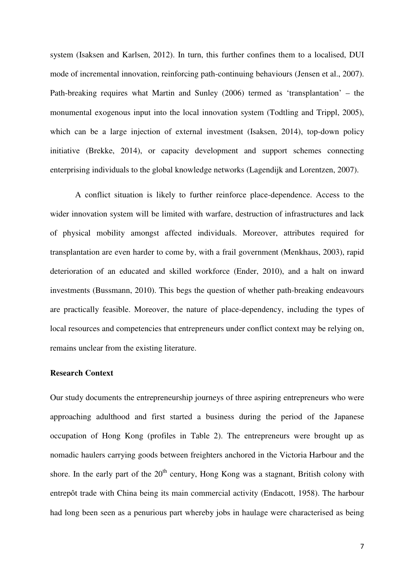system (Isaksen and Karlsen, 2012). In turn, this further confines them to a localised, DUI mode of incremental innovation, reinforcing path-continuing behaviours (Jensen et al., 2007). Path-breaking requires what Martin and Sunley (2006) termed as 'transplantation' – the monumental exogenous input into the local innovation system (Todtling and Trippl, 2005), which can be a large injection of external investment (Isaksen, 2014), top-down policy initiative (Brekke, 2014), or capacity development and support schemes connecting enterprising individuals to the global knowledge networks (Lagendijk and Lorentzen, 2007).

A conflict situation is likely to further reinforce place-dependence. Access to the wider innovation system will be limited with warfare, destruction of infrastructures and lack of physical mobility amongst affected individuals. Moreover, attributes required for transplantation are even harder to come by, with a frail government (Menkhaus, 2003), rapid deterioration of an educated and skilled workforce (Ender, 2010), and a halt on inward investments (Bussmann, 2010). This begs the question of whether path-breaking endeavours are practically feasible. Moreover, the nature of place-dependency, including the types of local resources and competencies that entrepreneurs under conflict context may be relying on, remains unclear from the existing literature.

### **Research Context**

Our study documents the entrepreneurship journeys of three aspiring entrepreneurs who were approaching adulthood and first started a business during the period of the Japanese occupation of Hong Kong (profiles in Table 2). The entrepreneurs were brought up as nomadic haulers carrying goods between freighters anchored in the Victoria Harbour and the shore. In the early part of the  $20<sup>th</sup>$  century, Hong Kong was a stagnant, British colony with entrepôt trade with China being its main commercial activity (Endacott, 1958). The harbour had long been seen as a penurious part whereby jobs in haulage were characterised as being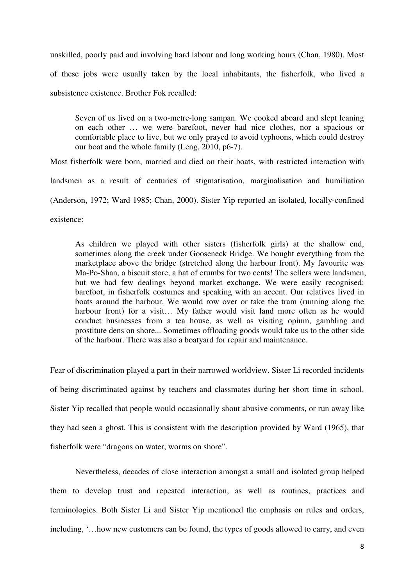unskilled, poorly paid and involving hard labour and long working hours (Chan, 1980). Most of these jobs were usually taken by the local inhabitants, the fisherfolk, who lived a subsistence existence. Brother Fok recalled:

Seven of us lived on a two-metre-long sampan. We cooked aboard and slept leaning on each other … we were barefoot, never had nice clothes, nor a spacious or comfortable place to live, but we only prayed to avoid typhoons, which could destroy our boat and the whole family (Leng, 2010, p6-7).

Most fisherfolk were born, married and died on their boats, with restricted interaction with

landsmen as a result of centuries of stigmatisation, marginalisation and humiliation

(Anderson, 1972; Ward 1985; Chan, 2000). Sister Yip reported an isolated, locally-confined

existence:

As children we played with other sisters (fisherfolk girls) at the shallow end, sometimes along the creek under Gooseneck Bridge. We bought everything from the marketplace above the bridge (stretched along the harbour front). My favourite was Ma-Po-Shan, a biscuit store, a hat of crumbs for two cents! The sellers were landsmen, but we had few dealings beyond market exchange. We were easily recognised: barefoot, in fisherfolk costumes and speaking with an accent. Our relatives lived in boats around the harbour. We would row over or take the tram (running along the harbour front) for a visit... My father would visit land more often as he would conduct businesses from a tea house, as well as visiting opium, gambling and prostitute dens on shore... Sometimes offloading goods would take us to the other side of the harbour. There was also a boatyard for repair and maintenance.

Fear of discrimination played a part in their narrowed worldview. Sister Li recorded incidents of being discriminated against by teachers and classmates during her short time in school. Sister Yip recalled that people would occasionally shout abusive comments, or run away like they had seen a ghost. This is consistent with the description provided by Ward (1965), that fisherfolk were "dragons on water, worms on shore".

Nevertheless, decades of close interaction amongst a small and isolated group helped them to develop trust and repeated interaction, as well as routines, practices and terminologies. Both Sister Li and Sister Yip mentioned the emphasis on rules and orders, including, '…how new customers can be found, the types of goods allowed to carry, and even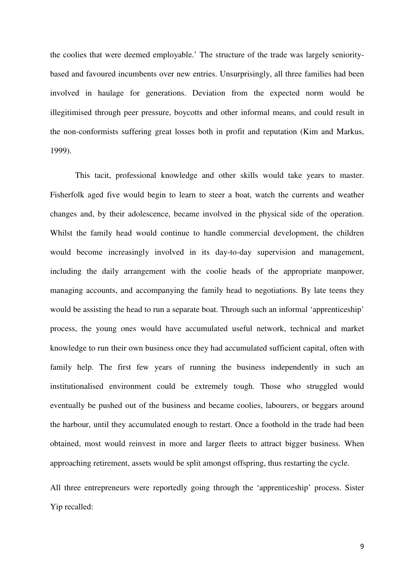the coolies that were deemed employable.' The structure of the trade was largely senioritybased and favoured incumbents over new entries. Unsurprisingly, all three families had been involved in haulage for generations. Deviation from the expected norm would be illegitimised through peer pressure, boycotts and other informal means, and could result in the non-conformists suffering great losses both in profit and reputation (Kim and Markus, 1999).

This tacit, professional knowledge and other skills would take years to master. Fisherfolk aged five would begin to learn to steer a boat, watch the currents and weather changes and, by their adolescence, became involved in the physical side of the operation. Whilst the family head would continue to handle commercial development, the children would become increasingly involved in its day-to-day supervision and management, including the daily arrangement with the coolie heads of the appropriate manpower, managing accounts, and accompanying the family head to negotiations. By late teens they would be assisting the head to run a separate boat. Through such an informal 'apprenticeship' process, the young ones would have accumulated useful network, technical and market knowledge to run their own business once they had accumulated sufficient capital, often with family help. The first few years of running the business independently in such an institutionalised environment could be extremely tough. Those who struggled would eventually be pushed out of the business and became coolies, labourers, or beggars around the harbour, until they accumulated enough to restart. Once a foothold in the trade had been obtained, most would reinvest in more and larger fleets to attract bigger business. When approaching retirement, assets would be split amongst offspring, thus restarting the cycle.

All three entrepreneurs were reportedly going through the 'apprenticeship' process. Sister Yip recalled: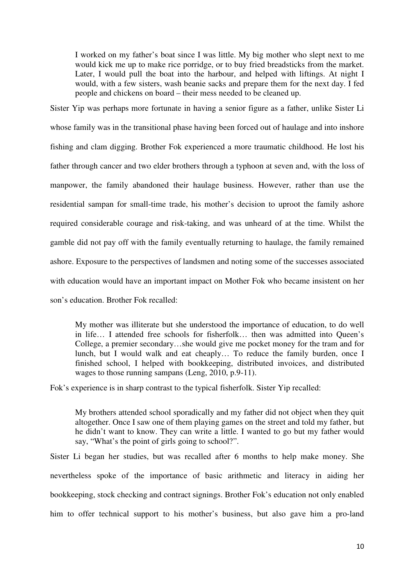I worked on my father's boat since I was little. My big mother who slept next to me would kick me up to make rice porridge, or to buy fried breadsticks from the market. Later, I would pull the boat into the harbour, and helped with liftings. At night I would, with a few sisters, wash beanie sacks and prepare them for the next day. I fed people and chickens on board – their mess needed to be cleaned up.

Sister Yip was perhaps more fortunate in having a senior figure as a father, unlike Sister Li whose family was in the transitional phase having been forced out of haulage and into inshore fishing and clam digging. Brother Fok experienced a more traumatic childhood. He lost his father through cancer and two elder brothers through a typhoon at seven and, with the loss of manpower, the family abandoned their haulage business. However, rather than use the residential sampan for small-time trade, his mother's decision to uproot the family ashore required considerable courage and risk-taking, and was unheard of at the time. Whilst the gamble did not pay off with the family eventually returning to haulage, the family remained ashore. Exposure to the perspectives of landsmen and noting some of the successes associated with education would have an important impact on Mother Fok who became insistent on her son's education. Brother Fok recalled:

My mother was illiterate but she understood the importance of education, to do well in life… I attended free schools for fisherfolk… then was admitted into Queen's College, a premier secondary…she would give me pocket money for the tram and for lunch, but I would walk and eat cheaply… To reduce the family burden, once I finished school, I helped with bookkeeping, distributed invoices, and distributed wages to those running sampans (Leng, 2010, p.9-11).

Fok's experience is in sharp contrast to the typical fisherfolk. Sister Yip recalled:

My brothers attended school sporadically and my father did not object when they quit altogether. Once I saw one of them playing games on the street and told my father, but he didn't want to know. They can write a little. I wanted to go but my father would say, "What's the point of girls going to school?".

Sister Li began her studies, but was recalled after 6 months to help make money. She nevertheless spoke of the importance of basic arithmetic and literacy in aiding her bookkeeping, stock checking and contract signings. Brother Fok's education not only enabled him to offer technical support to his mother's business, but also gave him a pro-land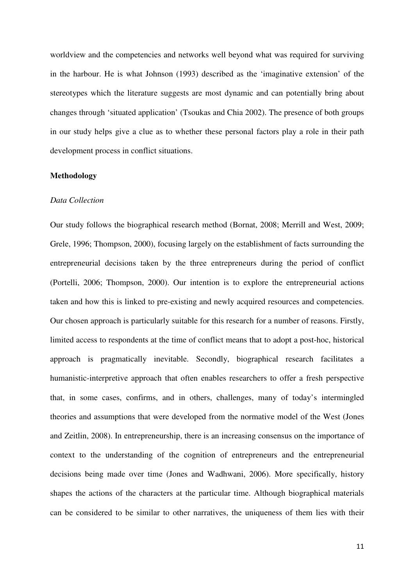worldview and the competencies and networks well beyond what was required for surviving in the harbour. He is what Johnson (1993) described as the 'imaginative extension' of the stereotypes which the literature suggests are most dynamic and can potentially bring about changes through 'situated application' (Tsoukas and Chia 2002). The presence of both groups in our study helps give a clue as to whether these personal factors play a role in their path development process in conflict situations.

#### **Methodology**

#### *Data Collection*

Our study follows the biographical research method (Bornat, 2008; Merrill and West, 2009; Grele, 1996; Thompson, 2000), focusing largely on the establishment of facts surrounding the entrepreneurial decisions taken by the three entrepreneurs during the period of conflict (Portelli, 2006; Thompson, 2000). Our intention is to explore the entrepreneurial actions taken and how this is linked to pre-existing and newly acquired resources and competencies. Our chosen approach is particularly suitable for this research for a number of reasons. Firstly, limited access to respondents at the time of conflict means that to adopt a post-hoc, historical approach is pragmatically inevitable. Secondly, biographical research facilitates a humanistic-interpretive approach that often enables researchers to offer a fresh perspective that, in some cases, confirms, and in others, challenges, many of today's intermingled theories and assumptions that were developed from the normative model of the West (Jones and Zeitlin, 2008). In entrepreneurship, there is an increasing consensus on the importance of context to the understanding of the cognition of entrepreneurs and the entrepreneurial decisions being made over time (Jones and Wadhwani, 2006). More specifically, history shapes the actions of the characters at the particular time. Although biographical materials can be considered to be similar to other narratives, the uniqueness of them lies with their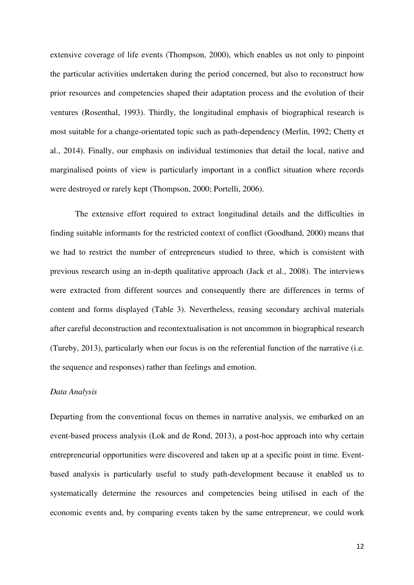extensive coverage of life events (Thompson, 2000), which enables us not only to pinpoint the particular activities undertaken during the period concerned, but also to reconstruct how prior resources and competencies shaped their adaptation process and the evolution of their ventures (Rosenthal, 1993). Thirdly, the longitudinal emphasis of biographical research is most suitable for a change-orientated topic such as path-dependency (Merlin, 1992; Chetty et al., 2014). Finally, our emphasis on individual testimonies that detail the local, native and marginalised points of view is particularly important in a conflict situation where records were destroyed or rarely kept (Thompson, 2000; Portelli, 2006).

The extensive effort required to extract longitudinal details and the difficulties in finding suitable informants for the restricted context of conflict (Goodhand, 2000) means that we had to restrict the number of entrepreneurs studied to three, which is consistent with previous research using an in-depth qualitative approach (Jack et al., 2008). The interviews were extracted from different sources and consequently there are differences in terms of content and forms displayed (Table 3). Nevertheless, reusing secondary archival materials after careful deconstruction and recontextualisation is not uncommon in biographical research (Tureby, 2013), particularly when our focus is on the referential function of the narrative (i.e. the sequence and responses) rather than feelings and emotion.

## *Data Analysis*

Departing from the conventional focus on themes in narrative analysis, we embarked on an event-based process analysis (Lok and de Rond, 2013), a post-hoc approach into why certain entrepreneurial opportunities were discovered and taken up at a specific point in time. Eventbased analysis is particularly useful to study path-development because it enabled us to systematically determine the resources and competencies being utilised in each of the economic events and, by comparing events taken by the same entrepreneur, we could work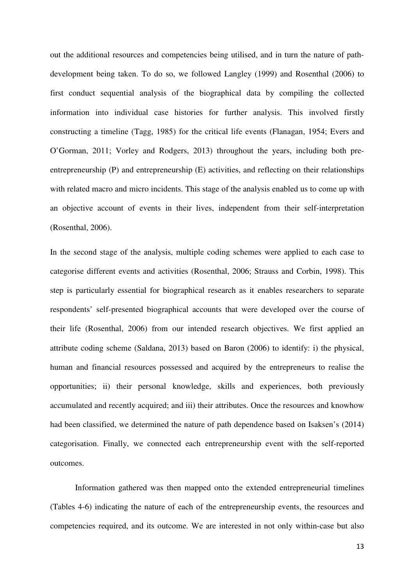out the additional resources and competencies being utilised, and in turn the nature of pathdevelopment being taken. To do so, we followed Langley (1999) and Rosenthal (2006) to first conduct sequential analysis of the biographical data by compiling the collected information into individual case histories for further analysis. This involved firstly constructing a timeline (Tagg, 1985) for the critical life events (Flanagan, 1954; Evers and O'Gorman, 2011; Vorley and Rodgers, 2013) throughout the years, including both preentrepreneurship (P) and entrepreneurship (E) activities, and reflecting on their relationships with related macro and micro incidents. This stage of the analysis enabled us to come up with an objective account of events in their lives, independent from their self-interpretation (Rosenthal, 2006).

In the second stage of the analysis, multiple coding schemes were applied to each case to categorise different events and activities (Rosenthal, 2006; Strauss and Corbin, 1998). This step is particularly essential for biographical research as it enables researchers to separate respondents' self-presented biographical accounts that were developed over the course of their life (Rosenthal, 2006) from our intended research objectives. We first applied an attribute coding scheme (Saldana, 2013) based on Baron (2006) to identify: i) the physical, human and financial resources possessed and acquired by the entrepreneurs to realise the opportunities; ii) their personal knowledge, skills and experiences, both previously accumulated and recently acquired; and iii) their attributes. Once the resources and knowhow had been classified, we determined the nature of path dependence based on Isaksen's (2014) categorisation. Finally, we connected each entrepreneurship event with the self-reported outcomes.

Information gathered was then mapped onto the extended entrepreneurial timelines (Tables 4-6) indicating the nature of each of the entrepreneurship events, the resources and competencies required, and its outcome. We are interested in not only within-case but also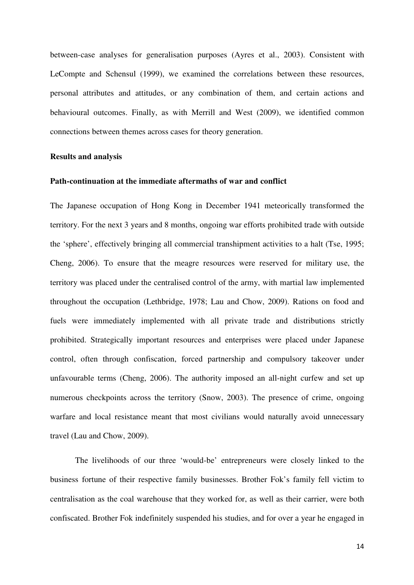between-case analyses for generalisation purposes (Ayres et al., 2003). Consistent with LeCompte and Schensul (1999), we examined the correlations between these resources, personal attributes and attitudes, or any combination of them, and certain actions and behavioural outcomes. Finally, as with Merrill and West (2009), we identified common connections between themes across cases for theory generation.

### **Results and analysis**

#### **Path-continuation at the immediate aftermaths of war and conflict**

The Japanese occupation of Hong Kong in December 1941 meteorically transformed the territory. For the next 3 years and 8 months, ongoing war efforts prohibited trade with outside the 'sphere', effectively bringing all commercial transhipment activities to a halt (Tse, 1995; Cheng, 2006). To ensure that the meagre resources were reserved for military use, the territory was placed under the centralised control of the army, with martial law implemented throughout the occupation (Lethbridge, 1978; Lau and Chow, 2009). Rations on food and fuels were immediately implemented with all private trade and distributions strictly prohibited. Strategically important resources and enterprises were placed under Japanese control, often through confiscation, forced partnership and compulsory takeover under unfavourable terms (Cheng, 2006). The authority imposed an all-night curfew and set up numerous checkpoints across the territory (Snow, 2003). The presence of crime, ongoing warfare and local resistance meant that most civilians would naturally avoid unnecessary travel (Lau and Chow, 2009).

The livelihoods of our three 'would-be' entrepreneurs were closely linked to the business fortune of their respective family businesses. Brother Fok's family fell victim to centralisation as the coal warehouse that they worked for, as well as their carrier, were both confiscated. Brother Fok indefinitely suspended his studies, and for over a year he engaged in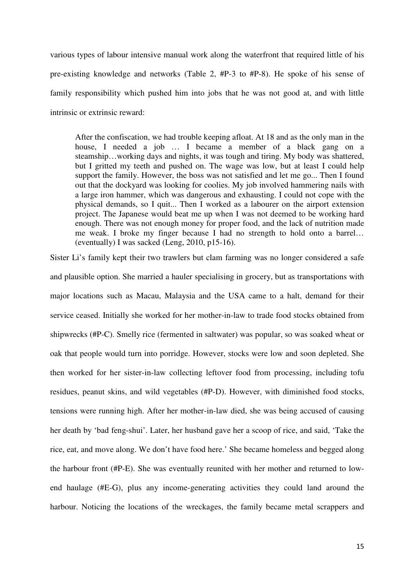various types of labour intensive manual work along the waterfront that required little of his pre-existing knowledge and networks (Table 2, #P-3 to #P-8). He spoke of his sense of family responsibility which pushed him into jobs that he was not good at, and with little intrinsic or extrinsic reward:

After the confiscation, we had trouble keeping afloat. At 18 and as the only man in the house, I needed a job ... I became a member of a black gang on a steamship…working days and nights, it was tough and tiring. My body was shattered, but I gritted my teeth and pushed on. The wage was low, but at least I could help support the family. However, the boss was not satisfied and let me go... Then I found out that the dockyard was looking for coolies. My job involved hammering nails with a large iron hammer, which was dangerous and exhausting. I could not cope with the physical demands, so I quit... Then I worked as a labourer on the airport extension project. The Japanese would beat me up when I was not deemed to be working hard enough. There was not enough money for proper food, and the lack of nutrition made me weak. I broke my finger because I had no strength to hold onto a barrel… (eventually) I was sacked (Leng, 2010, p15-16).

Sister Li's family kept their two trawlers but clam farming was no longer considered a safe and plausible option. She married a hauler specialising in grocery, but as transportations with major locations such as Macau, Malaysia and the USA came to a halt, demand for their service ceased. Initially she worked for her mother-in-law to trade food stocks obtained from shipwrecks (#P-C). Smelly rice (fermented in saltwater) was popular, so was soaked wheat or oak that people would turn into porridge. However, stocks were low and soon depleted. She then worked for her sister-in-law collecting leftover food from processing, including tofu residues, peanut skins, and wild vegetables (#P-D). However, with diminished food stocks, tensions were running high. After her mother-in-law died, she was being accused of causing her death by 'bad feng-shui'. Later, her husband gave her a scoop of rice, and said, 'Take the rice, eat, and move along. We don't have food here.' She became homeless and begged along the harbour front (#P-E). She was eventually reunited with her mother and returned to lowend haulage (#E-G), plus any income-generating activities they could land around the harbour. Noticing the locations of the wreckages, the family became metal scrappers and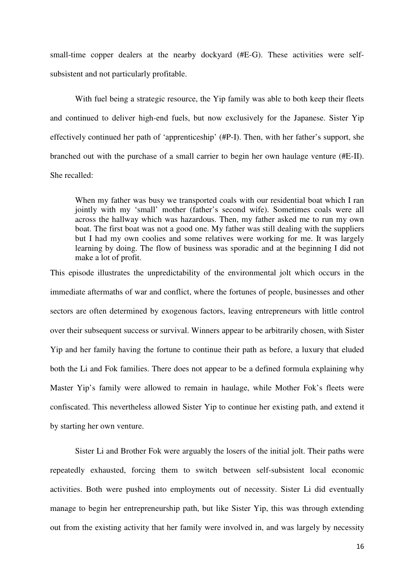small-time copper dealers at the nearby dockyard (#E-G). These activities were selfsubsistent and not particularly profitable.

With fuel being a strategic resource, the Yip family was able to both keep their fleets and continued to deliver high-end fuels, but now exclusively for the Japanese. Sister Yip effectively continued her path of 'apprenticeship' (#P-I). Then, with her father's support, she branched out with the purchase of a small carrier to begin her own haulage venture (#E-II). She recalled:

When my father was busy we transported coals with our residential boat which I ran jointly with my 'small' mother (father's second wife). Sometimes coals were all across the hallway which was hazardous. Then, my father asked me to run my own boat. The first boat was not a good one. My father was still dealing with the suppliers but I had my own coolies and some relatives were working for me. It was largely learning by doing. The flow of business was sporadic and at the beginning I did not make a lot of profit.

This episode illustrates the unpredictability of the environmental jolt which occurs in the immediate aftermaths of war and conflict, where the fortunes of people, businesses and other sectors are often determined by exogenous factors, leaving entrepreneurs with little control over their subsequent success or survival. Winners appear to be arbitrarily chosen, with Sister Yip and her family having the fortune to continue their path as before, a luxury that eluded both the Li and Fok families. There does not appear to be a defined formula explaining why Master Yip's family were allowed to remain in haulage, while Mother Fok's fleets were confiscated. This nevertheless allowed Sister Yip to continue her existing path, and extend it by starting her own venture.

Sister Li and Brother Fok were arguably the losers of the initial jolt. Their paths were repeatedly exhausted, forcing them to switch between self-subsistent local economic activities. Both were pushed into employments out of necessity. Sister Li did eventually manage to begin her entrepreneurship path, but like Sister Yip, this was through extending out from the existing activity that her family were involved in, and was largely by necessity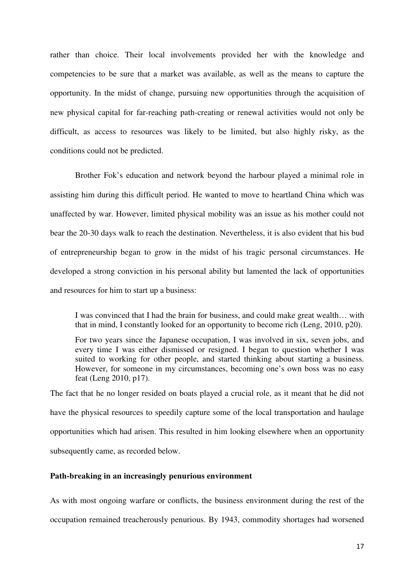rather than choice. Their local involvements provided her with the knowledge and competencies to be sure that a market was available, as well as the means to capture the opportunity. In the midst of change, pursuing new opportunities through the acquisition of new physical capital for far-reaching path-creating or renewal activities would not only be difficult, as access to resources was likely to be limited, but also highly risky, as the conditions could not be predicted.

Brother Fok's education and network beyond the harbour played a minimal role in assisting him during this difficult period. He wanted to move to heartland China which was unaffected by war. However, limited physical mobility was an issue as his mother could not bear the 20-30 days walk to reach the destination. Nevertheless, it is also evident that his bud of entrepreneurship began to grow in the midst of his tragic personal circumstances. He developed a strong conviction in his personal ability but lamented the lack of opportunities and resources for him to start up a business:

I was convinced that I had the brain for business, and could make great wealth… with that in mind, I constantly looked for an opportunity to become rich (Leng, 2010, p20).

For two years since the Japanese occupation, I was involved in six, seven jobs, and every time I was either dismissed or resigned. I began to question whether I was suited to working for other people, and started thinking about starting a business. However, for someone in my circumstances, becoming one's own boss was no easy feat (Leng 2010, p17).

The fact that he no longer resided on boats played a crucial role, as it meant that he did not have the physical resources to speedily capture some of the local transportation and haulage opportunities which had arisen. This resulted in him looking elsewhere when an opportunity subsequently came, as recorded below.

### **Path-breaking in an increasingly penurious environment**

As with most ongoing warfare or conflicts, the business environment during the rest of the occupation remained treacherously penurious. By 1943, commodity shortages had worsened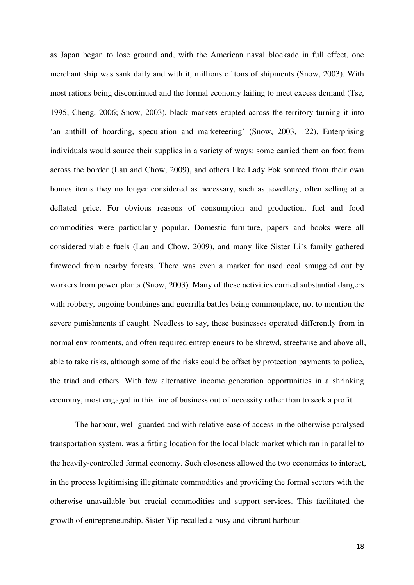as Japan began to lose ground and, with the American naval blockade in full effect, one merchant ship was sank daily and with it, millions of tons of shipments (Snow, 2003). With most rations being discontinued and the formal economy failing to meet excess demand (Tse, 1995; Cheng, 2006; Snow, 2003), black markets erupted across the territory turning it into 'an anthill of hoarding, speculation and marketeering' (Snow, 2003, 122). Enterprising individuals would source their supplies in a variety of ways: some carried them on foot from across the border (Lau and Chow, 2009), and others like Lady Fok sourced from their own homes items they no longer considered as necessary, such as jewellery, often selling at a deflated price. For obvious reasons of consumption and production, fuel and food commodities were particularly popular. Domestic furniture, papers and books were all considered viable fuels (Lau and Chow, 2009), and many like Sister Li's family gathered firewood from nearby forests. There was even a market for used coal smuggled out by workers from power plants (Snow, 2003). Many of these activities carried substantial dangers with robbery, ongoing bombings and guerrilla battles being commonplace, not to mention the severe punishments if caught. Needless to say, these businesses operated differently from in normal environments, and often required entrepreneurs to be shrewd, streetwise and above all, able to take risks, although some of the risks could be offset by protection payments to police, the triad and others. With few alternative income generation opportunities in a shrinking economy, most engaged in this line of business out of necessity rather than to seek a profit.

The harbour, well-guarded and with relative ease of access in the otherwise paralysed transportation system, was a fitting location for the local black market which ran in parallel to the heavily-controlled formal economy. Such closeness allowed the two economies to interact, in the process legitimising illegitimate commodities and providing the formal sectors with the otherwise unavailable but crucial commodities and support services. This facilitated the growth of entrepreneurship. Sister Yip recalled a busy and vibrant harbour: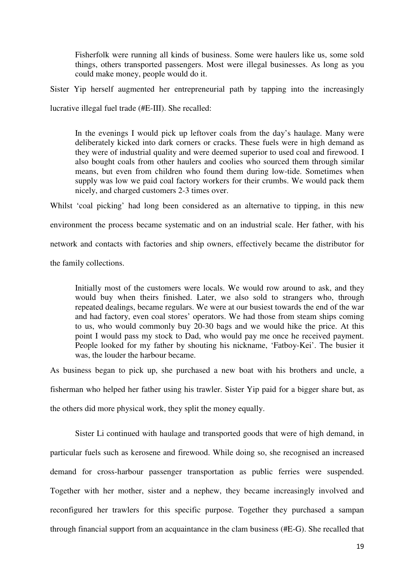Fisherfolk were running all kinds of business. Some were haulers like us, some sold things, others transported passengers. Most were illegal businesses. As long as you could make money, people would do it.

Sister Yip herself augmented her entrepreneurial path by tapping into the increasingly lucrative illegal fuel trade (#E-III). She recalled:

In the evenings I would pick up leftover coals from the day's haulage. Many were deliberately kicked into dark corners or cracks. These fuels were in high demand as they were of industrial quality and were deemed superior to used coal and firewood. I also bought coals from other haulers and coolies who sourced them through similar means, but even from children who found them during low-tide. Sometimes when supply was low we paid coal factory workers for their crumbs. We would pack them nicely, and charged customers 2-3 times over.

Whilst 'coal picking' had long been considered as an alternative to tipping, in this new environment the process became systematic and on an industrial scale. Her father, with his network and contacts with factories and ship owners, effectively became the distributor for the family collections.

Initially most of the customers were locals. We would row around to ask, and they would buy when theirs finished. Later, we also sold to strangers who, through repeated dealings, became regulars. We were at our busiest towards the end of the war and had factory, even coal stores' operators. We had those from steam ships coming to us, who would commonly buy 20-30 bags and we would hike the price. At this point I would pass my stock to Dad, who would pay me once he received payment. People looked for my father by shouting his nickname, 'Fatboy-Kei'. The busier it was, the louder the harbour became.

As business began to pick up, she purchased a new boat with his brothers and uncle, a fisherman who helped her father using his trawler. Sister Yip paid for a bigger share but, as the others did more physical work, they split the money equally.

Sister Li continued with haulage and transported goods that were of high demand, in particular fuels such as kerosene and firewood. While doing so, she recognised an increased demand for cross-harbour passenger transportation as public ferries were suspended. Together with her mother, sister and a nephew, they became increasingly involved and reconfigured her trawlers for this specific purpose. Together they purchased a sampan through financial support from an acquaintance in the clam business (#E-G). She recalled that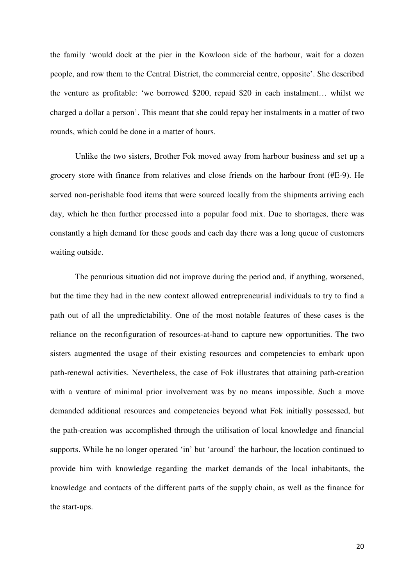the family 'would dock at the pier in the Kowloon side of the harbour, wait for a dozen people, and row them to the Central District, the commercial centre, opposite'. She described the venture as profitable: 'we borrowed \$200, repaid \$20 in each instalment… whilst we charged a dollar a person'. This meant that she could repay her instalments in a matter of two rounds, which could be done in a matter of hours.

Unlike the two sisters, Brother Fok moved away from harbour business and set up a grocery store with finance from relatives and close friends on the harbour front (#E-9). He served non-perishable food items that were sourced locally from the shipments arriving each day, which he then further processed into a popular food mix. Due to shortages, there was constantly a high demand for these goods and each day there was a long queue of customers waiting outside.

 The penurious situation did not improve during the period and, if anything, worsened, but the time they had in the new context allowed entrepreneurial individuals to try to find a path out of all the unpredictability. One of the most notable features of these cases is the reliance on the reconfiguration of resources-at-hand to capture new opportunities. The two sisters augmented the usage of their existing resources and competencies to embark upon path-renewal activities. Nevertheless, the case of Fok illustrates that attaining path-creation with a venture of minimal prior involvement was by no means impossible. Such a move demanded additional resources and competencies beyond what Fok initially possessed, but the path-creation was accomplished through the utilisation of local knowledge and financial supports. While he no longer operated 'in' but 'around' the harbour, the location continued to provide him with knowledge regarding the market demands of the local inhabitants, the knowledge and contacts of the different parts of the supply chain, as well as the finance for the start-ups.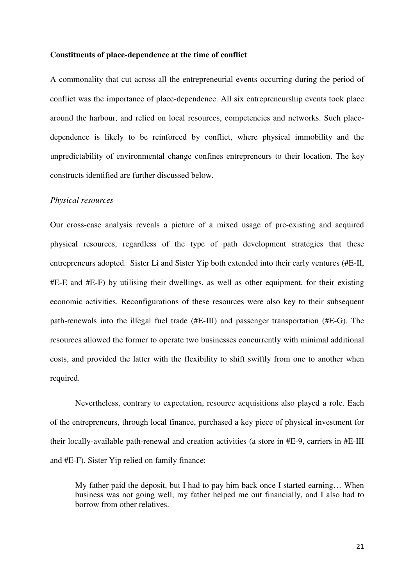#### **Constituents of place-dependence at the time of conflict**

A commonality that cut across all the entrepreneurial events occurring during the period of conflict was the importance of place-dependence. All six entrepreneurship events took place around the harbour, and relied on local resources, competencies and networks. Such placedependence is likely to be reinforced by conflict, where physical immobility and the unpredictability of environmental change confines entrepreneurs to their location. The key constructs identified are further discussed below.

#### *Physical resources*

Our cross-case analysis reveals a picture of a mixed usage of pre-existing and acquired physical resources, regardless of the type of path development strategies that these entrepreneurs adopted. Sister Li and Sister Yip both extended into their early ventures (#E-II, #E-E and #E-F) by utilising their dwellings, as well as other equipment, for their existing economic activities. Reconfigurations of these resources were also key to their subsequent path-renewals into the illegal fuel trade (#E-III) and passenger transportation (#E-G). The resources allowed the former to operate two businesses concurrently with minimal additional costs, and provided the latter with the flexibility to shift swiftly from one to another when required.

Nevertheless, contrary to expectation, resource acquisitions also played a role. Each of the entrepreneurs, through local finance, purchased a key piece of physical investment for their locally-available path-renewal and creation activities (a store in #E-9, carriers in #E-III and #E-F). Sister Yip relied on family finance:

My father paid the deposit, but I had to pay him back once I started earning… When business was not going well, my father helped me out financially, and I also had to borrow from other relatives.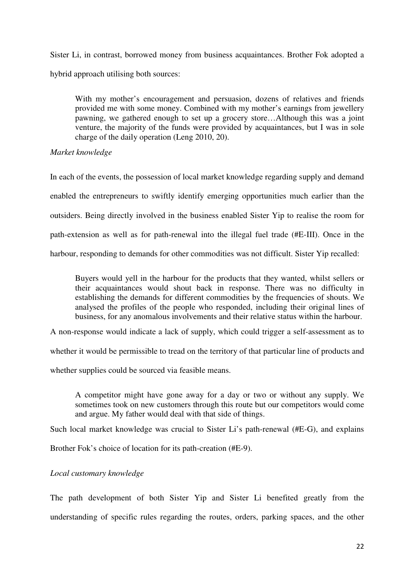Sister Li, in contrast, borrowed money from business acquaintances. Brother Fok adopted a hybrid approach utilising both sources:

With my mother's encouragement and persuasion, dozens of relatives and friends provided me with some money. Combined with my mother's earnings from jewellery pawning, we gathered enough to set up a grocery store…Although this was a joint venture, the majority of the funds were provided by acquaintances, but I was in sole charge of the daily operation (Leng 2010, 20).

# *Market knowledge*

In each of the events, the possession of local market knowledge regarding supply and demand enabled the entrepreneurs to swiftly identify emerging opportunities much earlier than the outsiders. Being directly involved in the business enabled Sister Yip to realise the room for path-extension as well as for path-renewal into the illegal fuel trade (#E-III). Once in the harbour, responding to demands for other commodities was not difficult. Sister Yip recalled:

Buyers would yell in the harbour for the products that they wanted, whilst sellers or their acquaintances would shout back in response. There was no difficulty in establishing the demands for different commodities by the frequencies of shouts. We analysed the profiles of the people who responded, including their original lines of business, for any anomalous involvements and their relative status within the harbour.

A non-response would indicate a lack of supply, which could trigger a self-assessment as to

whether it would be permissible to tread on the territory of that particular line of products and

whether supplies could be sourced via feasible means.

A competitor might have gone away for a day or two or without any supply. We sometimes took on new customers through this route but our competitors would come and argue. My father would deal with that side of things.

Such local market knowledge was crucial to Sister Li's path-renewal (#E-G), and explains

Brother Fok's choice of location for its path-creation (#E-9).

# *Local customary knowledge*

The path development of both Sister Yip and Sister Li benefited greatly from the understanding of specific rules regarding the routes, orders, parking spaces, and the other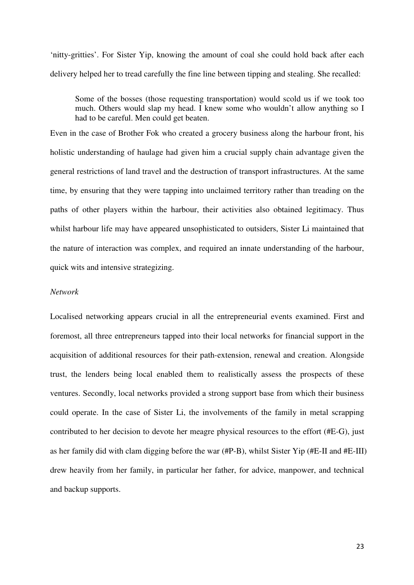'nitty-gritties'. For Sister Yip, knowing the amount of coal she could hold back after each delivery helped her to tread carefully the fine line between tipping and stealing. She recalled:

Some of the bosses (those requesting transportation) would scold us if we took too much. Others would slap my head. I knew some who wouldn't allow anything so I had to be careful. Men could get beaten.

Even in the case of Brother Fok who created a grocery business along the harbour front, his holistic understanding of haulage had given him a crucial supply chain advantage given the general restrictions of land travel and the destruction of transport infrastructures. At the same time, by ensuring that they were tapping into unclaimed territory rather than treading on the paths of other players within the harbour, their activities also obtained legitimacy. Thus whilst harbour life may have appeared unsophisticated to outsiders, Sister Li maintained that the nature of interaction was complex, and required an innate understanding of the harbour, quick wits and intensive strategizing.

#### *Network*

Localised networking appears crucial in all the entrepreneurial events examined. First and foremost, all three entrepreneurs tapped into their local networks for financial support in the acquisition of additional resources for their path-extension, renewal and creation. Alongside trust, the lenders being local enabled them to realistically assess the prospects of these ventures. Secondly, local networks provided a strong support base from which their business could operate. In the case of Sister Li, the involvements of the family in metal scrapping contributed to her decision to devote her meagre physical resources to the effort (#E-G), just as her family did with clam digging before the war (#P-B), whilst Sister Yip (#E-II and #E-III) drew heavily from her family, in particular her father, for advice, manpower, and technical and backup supports.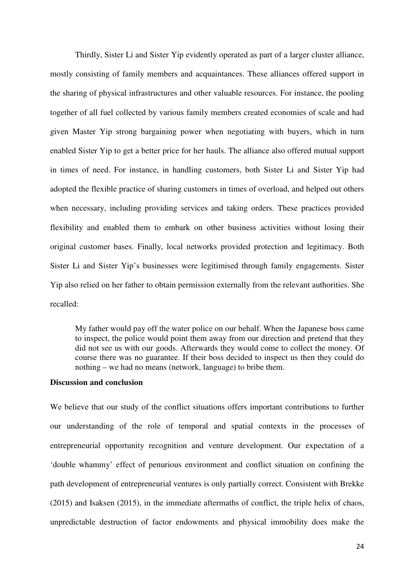Thirdly, Sister Li and Sister Yip evidently operated as part of a larger cluster alliance, mostly consisting of family members and acquaintances. These alliances offered support in the sharing of physical infrastructures and other valuable resources. For instance, the pooling together of all fuel collected by various family members created economies of scale and had given Master Yip strong bargaining power when negotiating with buyers, which in turn enabled Sister Yip to get a better price for her hauls. The alliance also offered mutual support in times of need. For instance, in handling customers, both Sister Li and Sister Yip had adopted the flexible practice of sharing customers in times of overload, and helped out others when necessary, including providing services and taking orders. These practices provided flexibility and enabled them to embark on other business activities without losing their original customer bases. Finally, local networks provided protection and legitimacy. Both Sister Li and Sister Yip's businesses were legitimised through family engagements. Sister Yip also relied on her father to obtain permission externally from the relevant authorities. She recalled:

My father would pay off the water police on our behalf. When the Japanese boss came to inspect, the police would point them away from our direction and pretend that they did not see us with our goods. Afterwards they would come to collect the money. Of course there was no guarantee. If their boss decided to inspect us then they could do nothing – we had no means (network, language) to bribe them.

### **Discussion and conclusion**

We believe that our study of the conflict situations offers important contributions to further our understanding of the role of temporal and spatial contexts in the processes of entrepreneurial opportunity recognition and venture development. Our expectation of a 'double whammy' effect of penurious environment and conflict situation on confining the path development of entrepreneurial ventures is only partially correct. Consistent with Brekke (2015) and Isaksen (2015), in the immediate aftermaths of conflict, the triple helix of chaos, unpredictable destruction of factor endowments and physical immobility does make the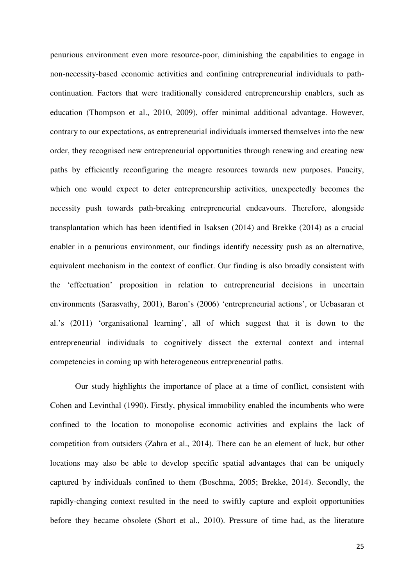penurious environment even more resource-poor, diminishing the capabilities to engage in non-necessity-based economic activities and confining entrepreneurial individuals to pathcontinuation. Factors that were traditionally considered entrepreneurship enablers, such as education (Thompson et al., 2010, 2009), offer minimal additional advantage. However, contrary to our expectations, as entrepreneurial individuals immersed themselves into the new order, they recognised new entrepreneurial opportunities through renewing and creating new paths by efficiently reconfiguring the meagre resources towards new purposes. Paucity, which one would expect to deter entrepreneurship activities, unexpectedly becomes the necessity push towards path-breaking entrepreneurial endeavours. Therefore, alongside transplantation which has been identified in Isaksen (2014) and Brekke (2014) as a crucial enabler in a penurious environment, our findings identify necessity push as an alternative, equivalent mechanism in the context of conflict. Our finding is also broadly consistent with the 'effectuation' proposition in relation to entrepreneurial decisions in uncertain environments (Sarasvathy, 2001), Baron's (2006) 'entrepreneurial actions', or Ucbasaran et al.'s (2011) 'organisational learning', all of which suggest that it is down to the entrepreneurial individuals to cognitively dissect the external context and internal competencies in coming up with heterogeneous entrepreneurial paths.

Our study highlights the importance of place at a time of conflict, consistent with Cohen and Levinthal (1990). Firstly, physical immobility enabled the incumbents who were confined to the location to monopolise economic activities and explains the lack of competition from outsiders (Zahra et al., 2014). There can be an element of luck, but other locations may also be able to develop specific spatial advantages that can be uniquely captured by individuals confined to them (Boschma, 2005; Brekke, 2014). Secondly, the rapidly-changing context resulted in the need to swiftly capture and exploit opportunities before they became obsolete (Short et al., 2010). Pressure of time had, as the literature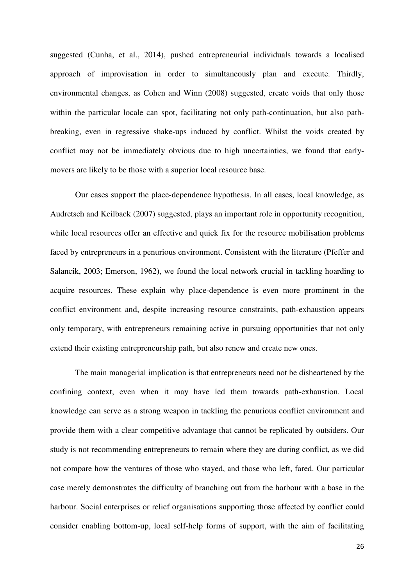suggested (Cunha, et al., 2014), pushed entrepreneurial individuals towards a localised approach of improvisation in order to simultaneously plan and execute. Thirdly, environmental changes, as Cohen and Winn (2008) suggested, create voids that only those within the particular locale can spot, facilitating not only path-continuation, but also pathbreaking, even in regressive shake-ups induced by conflict. Whilst the voids created by conflict may not be immediately obvious due to high uncertainties, we found that earlymovers are likely to be those with a superior local resource base.

Our cases support the place-dependence hypothesis. In all cases, local knowledge, as Audretsch and Keilback (2007) suggested, plays an important role in opportunity recognition, while local resources offer an effective and quick fix for the resource mobilisation problems faced by entrepreneurs in a penurious environment. Consistent with the literature (Pfeffer and Salancik, 2003; Emerson, 1962), we found the local network crucial in tackling hoarding to acquire resources. These explain why place-dependence is even more prominent in the conflict environment and, despite increasing resource constraints, path-exhaustion appears only temporary, with entrepreneurs remaining active in pursuing opportunities that not only extend their existing entrepreneurship path, but also renew and create new ones.

The main managerial implication is that entrepreneurs need not be disheartened by the confining context, even when it may have led them towards path-exhaustion. Local knowledge can serve as a strong weapon in tackling the penurious conflict environment and provide them with a clear competitive advantage that cannot be replicated by outsiders. Our study is not recommending entrepreneurs to remain where they are during conflict, as we did not compare how the ventures of those who stayed, and those who left, fared. Our particular case merely demonstrates the difficulty of branching out from the harbour with a base in the harbour. Social enterprises or relief organisations supporting those affected by conflict could consider enabling bottom-up, local self-help forms of support, with the aim of facilitating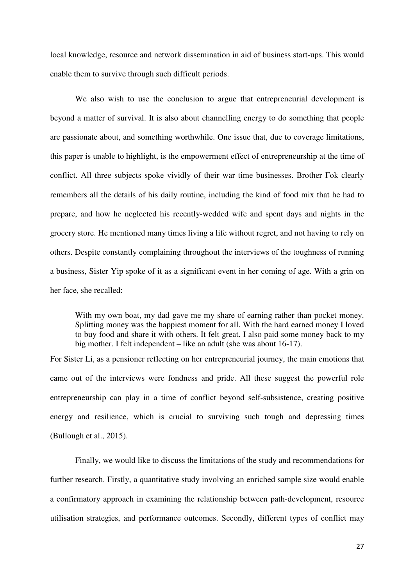local knowledge, resource and network dissemination in aid of business start-ups. This would enable them to survive through such difficult periods.

We also wish to use the conclusion to argue that entrepreneurial development is beyond a matter of survival. It is also about channelling energy to do something that people are passionate about, and something worthwhile. One issue that, due to coverage limitations, this paper is unable to highlight, is the empowerment effect of entrepreneurship at the time of conflict. All three subjects spoke vividly of their war time businesses. Brother Fok clearly remembers all the details of his daily routine, including the kind of food mix that he had to prepare, and how he neglected his recently-wedded wife and spent days and nights in the grocery store. He mentioned many times living a life without regret, and not having to rely on others. Despite constantly complaining throughout the interviews of the toughness of running a business, Sister Yip spoke of it as a significant event in her coming of age. With a grin on her face, she recalled:

With my own boat, my dad gave me my share of earning rather than pocket money. Splitting money was the happiest moment for all. With the hard earned money I loved to buy food and share it with others. It felt great. I also paid some money back to my big mother. I felt independent – like an adult (she was about 16-17).

For Sister Li, as a pensioner reflecting on her entrepreneurial journey, the main emotions that came out of the interviews were fondness and pride. All these suggest the powerful role entrepreneurship can play in a time of conflict beyond self-subsistence, creating positive energy and resilience, which is crucial to surviving such tough and depressing times (Bullough et al., 2015).

Finally, we would like to discuss the limitations of the study and recommendations for further research. Firstly, a quantitative study involving an enriched sample size would enable a confirmatory approach in examining the relationship between path-development, resource utilisation strategies, and performance outcomes. Secondly, different types of conflict may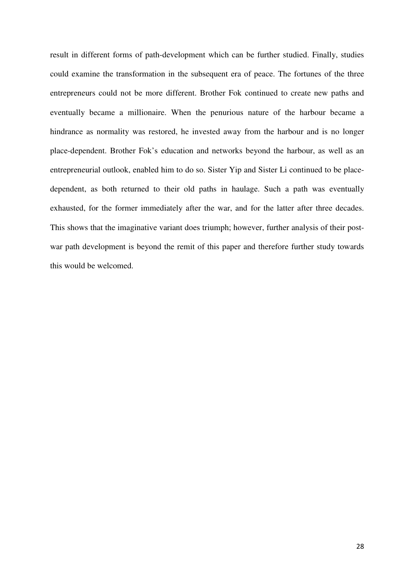result in different forms of path-development which can be further studied. Finally, studies could examine the transformation in the subsequent era of peace. The fortunes of the three entrepreneurs could not be more different. Brother Fok continued to create new paths and eventually became a millionaire. When the penurious nature of the harbour became a hindrance as normality was restored, he invested away from the harbour and is no longer place-dependent. Brother Fok's education and networks beyond the harbour, as well as an entrepreneurial outlook, enabled him to do so. Sister Yip and Sister Li continued to be placedependent, as both returned to their old paths in haulage. Such a path was eventually exhausted, for the former immediately after the war, and for the latter after three decades. This shows that the imaginative variant does triumph; however, further analysis of their postwar path development is beyond the remit of this paper and therefore further study towards this would be welcomed.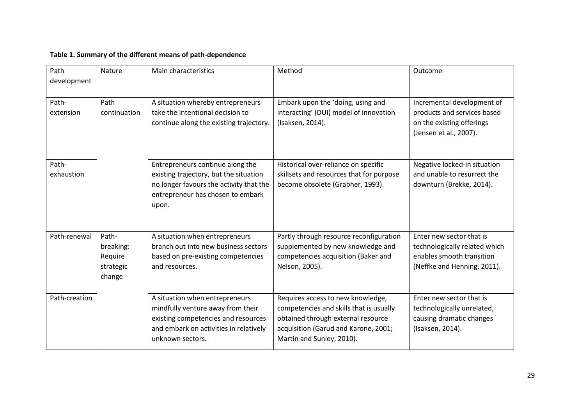## **Table 1. Summary of the different means of path-dependence**

| Path<br>development | Nature                                               | Main characteristics                                                                                                                                                     | Method                                                                                                                                                                                  | Outcome                                                                                                               |
|---------------------|------------------------------------------------------|--------------------------------------------------------------------------------------------------------------------------------------------------------------------------|-----------------------------------------------------------------------------------------------------------------------------------------------------------------------------------------|-----------------------------------------------------------------------------------------------------------------------|
| Path-<br>extension  | Path<br>continuation                                 | A situation whereby entrepreneurs<br>take the intentional decision to<br>continue along the existing trajectory.                                                         | Embark upon the 'doing, using and<br>interacting' (DUI) model of innovation<br>(Isaksen, 2014).                                                                                         | Incremental development of<br>products and services based<br>on the existing offerings<br>(Jensen et al., 2007).      |
| Path-<br>exhaustion |                                                      | Entrepreneurs continue along the<br>existing trajectory, but the situation<br>no longer favours the activity that the<br>entrepreneur has chosen to embark<br>upon.      | Historical over-reliance on specific<br>skillsets and resources that for purpose<br>become obsolete (Grabher, 1993).                                                                    | Negative locked-in situation<br>and unable to resurrect the<br>downturn (Brekke, 2014).                               |
| Path-renewal        | Path-<br>breaking:<br>Require<br>strategic<br>change | A situation when entrepreneurs<br>branch out into new business sectors<br>based on pre-existing competencies<br>and resources.                                           | Partly through resource reconfiguration<br>supplemented by new knowledge and<br>competencies acquisition (Baker and<br>Nelson, 2005).                                                   | Enter new sector that is<br>technologically related which<br>enables smooth transition<br>(Neffke and Henning, 2011). |
| Path-creation       |                                                      | A situation when entrepreneurs<br>mindfully venture away from their<br>existing competencies and resources<br>and embark on activities in relatively<br>unknown sectors. | Requires access to new knowledge,<br>competencies and skills that is usually<br>obtained through external resource<br>acquisition (Garud and Karone, 2001;<br>Martin and Sunley, 2010). | Enter new sector that is<br>technologically unrelated,<br>causing dramatic changes<br>(Isaksen, 2014).                |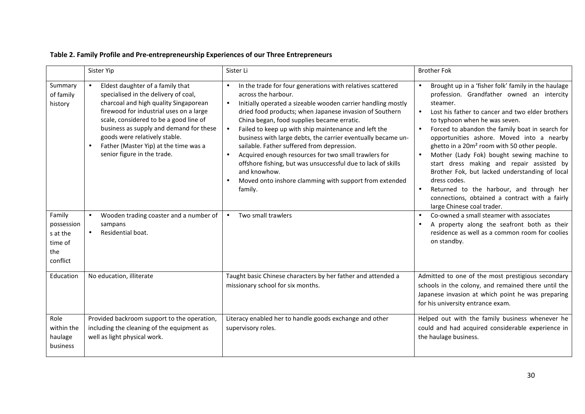# **Table 2. Family Profile and Pre-entrepreneurship Experiences of our Three Entrepreneurs**

|                                                                | Sister Yip                                                                                                                                                                                                                                                                                                                                                              | Sister Li                                                                                                                                                                                                                                                                                                                                                                                                                                                                                                                                                                                                                                                                                         | <b>Brother Fok</b>                                                                                                                                                                                                                                                                                                                                                                                                                                                                                                                                                                                                                                     |
|----------------------------------------------------------------|-------------------------------------------------------------------------------------------------------------------------------------------------------------------------------------------------------------------------------------------------------------------------------------------------------------------------------------------------------------------------|---------------------------------------------------------------------------------------------------------------------------------------------------------------------------------------------------------------------------------------------------------------------------------------------------------------------------------------------------------------------------------------------------------------------------------------------------------------------------------------------------------------------------------------------------------------------------------------------------------------------------------------------------------------------------------------------------|--------------------------------------------------------------------------------------------------------------------------------------------------------------------------------------------------------------------------------------------------------------------------------------------------------------------------------------------------------------------------------------------------------------------------------------------------------------------------------------------------------------------------------------------------------------------------------------------------------------------------------------------------------|
| Summary<br>of family<br>history                                | Eldest daughter of a family that<br>$\bullet$<br>specialised in the delivery of coal,<br>charcoal and high quality Singaporean<br>firewood for industrial uses on a large<br>scale, considered to be a good line of<br>business as supply and demand for these<br>goods were relatively stable.<br>Father (Master Yip) at the time was a<br>senior figure in the trade. | In the trade for four generations with relatives scattered<br>$\bullet$<br>across the harbour.<br>Initially operated a sizeable wooden carrier handling mostly<br>$\bullet$<br>dried food products; when Japanese invasion of Southern<br>China began, food supplies became erratic.<br>Failed to keep up with ship maintenance and left the<br>$\bullet$<br>business with large debts, the carrier eventually became un-<br>sailable. Father suffered from depression.<br>Acquired enough resources for two small trawlers for<br>$\bullet$<br>offshore fishing, but was unsuccessful due to lack of skills<br>and knowhow.<br>Moved onto inshore clamming with support from extended<br>family. | Brought up in a 'fisher folk' family in the haulage<br>profession. Grandfather owned an intercity<br>steamer.<br>Lost his father to cancer and two elder brothers<br>to typhoon when he was seven.<br>Forced to abandon the family boat in search for<br>opportunities ashore. Moved into a nearby<br>ghetto in a 20m <sup>2</sup> room with 50 other people.<br>Mother (Lady Fok) bought sewing machine to<br>start dress making and repair assisted by<br>Brother Fok, but lacked understanding of local<br>dress codes.<br>Returned to the harbour, and through her<br>connections, obtained a contract with a fairly<br>large Chinese coal trader. |
| Family<br>possession<br>s at the<br>time of<br>the<br>conflict | Wooden trading coaster and a number of<br>$\bullet$<br>sampans<br>Residential boat.<br>$\bullet$                                                                                                                                                                                                                                                                        | Two small trawlers<br>$\bullet$                                                                                                                                                                                                                                                                                                                                                                                                                                                                                                                                                                                                                                                                   | Co-owned a small steamer with associates<br>A property along the seafront both as their<br>residence as well as a common room for coolies<br>on standby.                                                                                                                                                                                                                                                                                                                                                                                                                                                                                               |
| Education                                                      | No education, illiterate                                                                                                                                                                                                                                                                                                                                                | Taught basic Chinese characters by her father and attended a<br>missionary school for six months.                                                                                                                                                                                                                                                                                                                                                                                                                                                                                                                                                                                                 | Admitted to one of the most prestigious secondary<br>schools in the colony, and remained there until the<br>Japanese invasion at which point he was preparing<br>for his university entrance exam.                                                                                                                                                                                                                                                                                                                                                                                                                                                     |
| Role<br>within the<br>haulage<br>business                      | Provided backroom support to the operation,<br>including the cleaning of the equipment as<br>well as light physical work.                                                                                                                                                                                                                                               | Literacy enabled her to handle goods exchange and other<br>supervisory roles.                                                                                                                                                                                                                                                                                                                                                                                                                                                                                                                                                                                                                     | Helped out with the family business whenever he<br>could and had acquired considerable experience in<br>the haulage business.                                                                                                                                                                                                                                                                                                                                                                                                                                                                                                                          |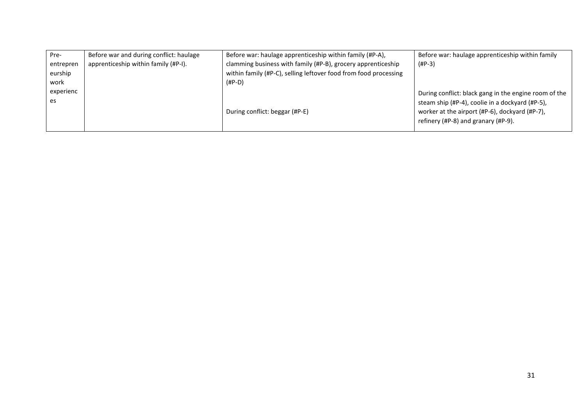| Pre-      | Before war and during conflict: haulage | Before war: haulage apprenticeship within family (#P-A),         | Before war: haulage apprenticeship within family      |
|-----------|-----------------------------------------|------------------------------------------------------------------|-------------------------------------------------------|
| entrepren | apprenticeship within family (#P-I).    | clamming business with family (#P-B), grocery apprenticeship     | $(HP-3)$                                              |
| eurship   |                                         | within family (#P-C), selling leftover food from food processing |                                                       |
| work      |                                         | $(HP-D)$                                                         |                                                       |
| experienc |                                         |                                                                  | During conflict: black gang in the engine room of the |
| es        |                                         |                                                                  | steam ship (#P-4), coolie in a dockyard (#P-5),       |
|           |                                         | During conflict: beggar (#P-E)                                   | worker at the airport (#P-6), dockyard (#P-7),        |
|           |                                         |                                                                  | refinery (#P-8) and granary (#P-9).                   |
|           |                                         |                                                                  |                                                       |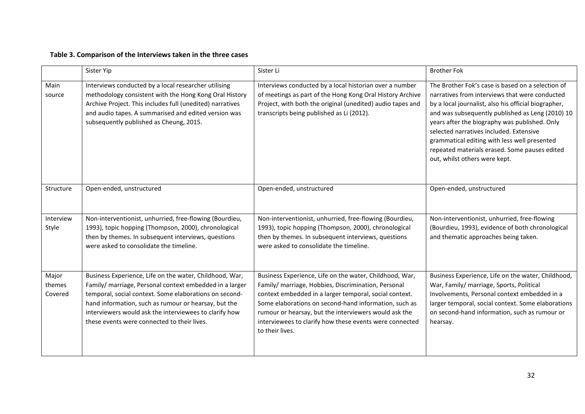# **Table 3. Comparison of the Interviews taken in the three cases**

|                            | Sister Yip                                                                                                                                                                                                                                                                                                                                    | Sister Li                                                                                                                                                                                                                                                                                                                                                                | <b>Brother Fok</b>                                                                                                                                                                                                                                                                                                                                                                                                                            |
|----------------------------|-----------------------------------------------------------------------------------------------------------------------------------------------------------------------------------------------------------------------------------------------------------------------------------------------------------------------------------------------|--------------------------------------------------------------------------------------------------------------------------------------------------------------------------------------------------------------------------------------------------------------------------------------------------------------------------------------------------------------------------|-----------------------------------------------------------------------------------------------------------------------------------------------------------------------------------------------------------------------------------------------------------------------------------------------------------------------------------------------------------------------------------------------------------------------------------------------|
| Main<br>source             | Interviews conducted by a local researcher utilising<br>methodology consistent with the Hong Kong Oral History<br>Archive Project. This includes full (unedited) narratives<br>and audio tapes. A summarised and edited version was<br>subsequently published as Cheung, 2015.                                                                | Interviews conducted by a local historian over a number<br>of meetings as part of the Hong Kong Oral History Archive<br>Project, with both the original (unedited) audio tapes and<br>transcripts being published as Li (2012).                                                                                                                                          | The Brother Fok's case is based on a selection of<br>narratives from interviews that were conducted<br>by a local journalist, also his official biographer,<br>and was subsequently published as Leng (2010) 10<br>years after the biography was published. Only<br>selected narratives included. Extensive<br>grammatical editing with less well presented<br>repeated materials erased. Some pauses edited<br>out, whilst others were kept. |
| Structure                  | Open-ended, unstructured                                                                                                                                                                                                                                                                                                                      | Open-ended, unstructured                                                                                                                                                                                                                                                                                                                                                 | Open-ended, unstructured                                                                                                                                                                                                                                                                                                                                                                                                                      |
| Interview<br>Style         | Non-interventionist, unhurried, free-flowing (Bourdieu,<br>1993), topic hopping (Thompson, 2000), chronological<br>then by themes. In subsequent interviews, questions<br>were asked to consolidate the timeline.                                                                                                                             | Non-interventionist, unhurried, free-flowing (Bourdieu,<br>1993), topic hopping (Thompson, 2000), chronological<br>then by themes. In subsequent interviews, questions<br>were asked to consolidate the timeline.                                                                                                                                                        | Non-interventionist, unhurried, free-flowing<br>(Bourdieu, 1993), evidence of both chronological<br>and thematic approaches being taken.                                                                                                                                                                                                                                                                                                      |
| Major<br>themes<br>Covered | Business Experience, Life on the water, Childhood, War,<br>Family/ marriage, Personal context embedded in a larger<br>temporal, social context. Some elaborations on second-<br>hand information, such as rumour or hearsay, but the<br>interviewers would ask the interviewees to clarify how<br>these events were connected to their lives. | Business Experience, Life on the water, Childhood, War,<br>Family/ marriage, Hobbies, Discrimination, Personal<br>context embedded in a larger temporal, social context.<br>Some elaborations on second-hand information, such as<br>rumour or hearsay, but the interviewers would ask the<br>interviewees to clarify how these events were connected<br>to their lives. | Business Experience, Life on the water, Childhood,<br>War, Family/ marriage, Sports, Political<br>Involvements, Personal context embedded in a<br>larger temporal, social context. Some elaborations<br>on second-hand information, such as rumour or<br>hearsay.                                                                                                                                                                             |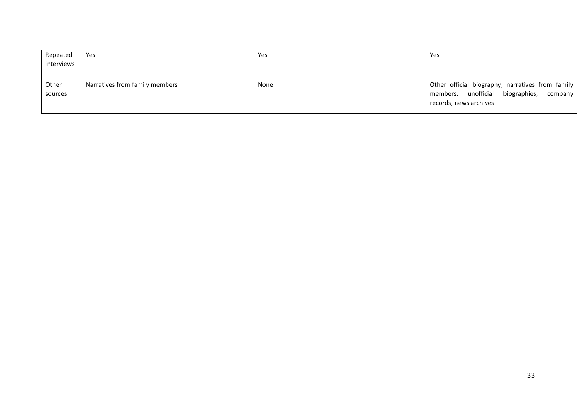| Repeated   | Yes                            | Yes  | Yes                                              |
|------------|--------------------------------|------|--------------------------------------------------|
| interviews |                                |      |                                                  |
|            |                                |      |                                                  |
| Other      | Narratives from family members | None | Other official biography, narratives from family |
| sources    |                                |      | unofficial biographies,<br>company<br>members,   |
|            |                                |      | records, news archives.                          |
|            |                                |      |                                                  |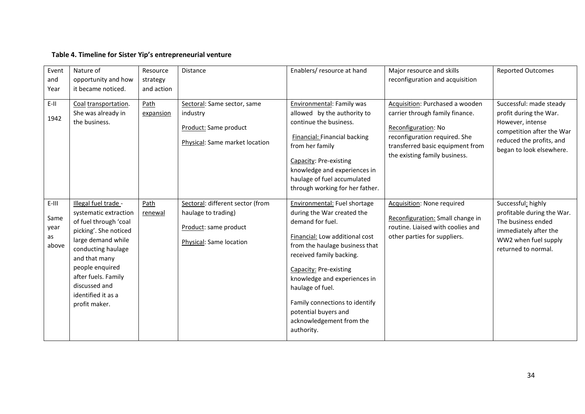## **Table 4. Timeline for Sister Yip's entrepreneurial venture**

| Event<br>and<br>Year                  | Nature of<br>opportunity and how<br>it became noticed.                                                                                                                                                                                                         | Resource<br>strategy<br>and action | Distance                                                                                                    | Enablers/ resource at hand                                                                                                                                                                                                                                                                                                                                       | Major resource and skills<br>reconfiguration and acquisition                                                                                                                                    | <b>Reported Outcomes</b>                                                                                                                                   |
|---------------------------------------|----------------------------------------------------------------------------------------------------------------------------------------------------------------------------------------------------------------------------------------------------------------|------------------------------------|-------------------------------------------------------------------------------------------------------------|------------------------------------------------------------------------------------------------------------------------------------------------------------------------------------------------------------------------------------------------------------------------------------------------------------------------------------------------------------------|-------------------------------------------------------------------------------------------------------------------------------------------------------------------------------------------------|------------------------------------------------------------------------------------------------------------------------------------------------------------|
| $E-H$<br>1942                         | Coal transportation.<br>She was already in<br>the business.                                                                                                                                                                                                    | Path<br>expansion                  | Sectoral: Same sector, same<br>industry<br>Product: Same product<br>Physical: Same market location          | Environmental: Family was<br>allowed by the authority to<br>continue the business.<br><b>Financial: Financial backing</b><br>from her family<br>Capacity: Pre-existing<br>knowledge and experiences in<br>haulage of fuel accumulated<br>through working for her father.                                                                                         | Acquisition: Purchased a wooden<br>carrier through family finance.<br>Reconfiguration: No<br>reconfiguration required. She<br>transferred basic equipment from<br>the existing family business. | Successful: made steady<br>profit during the War.<br>However, intense<br>competition after the War<br>reduced the profits, and<br>began to look elsewhere. |
| $E-HI$<br>Same<br>year<br>as<br>above | Illegal fuel trade -<br>systematic extraction<br>of fuel through 'coal<br>picking'. She noticed<br>large demand while<br>conducting haulage<br>and that many<br>people enquired<br>after fuels. Family<br>discussed and<br>identified it as a<br>profit maker. | Path<br>renewal                    | Sectoral: different sector (from<br>haulage to trading)<br>Product: same product<br>Physical: Same location | Environmental: Fuel shortage<br>during the War created the<br>demand for fuel.<br>Financial: Low additional cost<br>from the haulage business that<br>received family backing.<br>Capacity: Pre-existing<br>knowledge and experiences in<br>haulage of fuel.<br>Family connections to identify<br>potential buyers and<br>acknowledgement from the<br>authority. | Acquisition: None required<br>Reconfiguration: Small change in<br>routine. Liaised with coolies and<br>other parties for suppliers.                                                             | Successful: highly<br>profitable during the War.<br>The business ended<br>immediately after the<br>WW2 when fuel supply<br>returned to normal.             |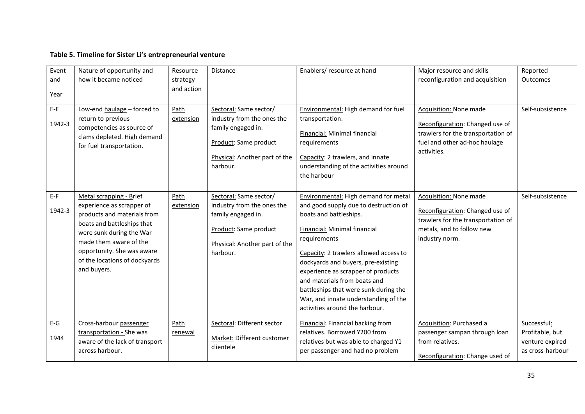# **Table 5. Timeline for Sister Li's entrepreneurial venture**

| Event<br>and<br>Year | Nature of opportunity and<br>how it became noticed                                                                                                                                                                                                    | Resource<br>strategy<br>and action | Distance                                                                                                                                         | Enablers/ resource at hand                                                                                                                                                                                                                                                                                                                                                                                                       | Major resource and skills<br>reconfiguration and acquisition                                                                                    | Reported<br><b>Outcomes</b>                                           |
|----------------------|-------------------------------------------------------------------------------------------------------------------------------------------------------------------------------------------------------------------------------------------------------|------------------------------------|--------------------------------------------------------------------------------------------------------------------------------------------------|----------------------------------------------------------------------------------------------------------------------------------------------------------------------------------------------------------------------------------------------------------------------------------------------------------------------------------------------------------------------------------------------------------------------------------|-------------------------------------------------------------------------------------------------------------------------------------------------|-----------------------------------------------------------------------|
| $E-E$<br>1942-3      | Low-end haulage - forced to<br>return to previous<br>competencies as source of<br>clams depleted. High demand<br>for fuel transportation.                                                                                                             | Path<br>extension                  | Sectoral: Same sector/<br>industry from the ones the<br>family engaged in.<br>Product: Same product<br>Physical: Another part of the<br>harbour. | Environmental: High demand for fuel<br>transportation.<br>Financial: Minimal financial<br>requirements<br>Capacity: 2 trawlers, and innate<br>understanding of the activities around<br>the harbour                                                                                                                                                                                                                              | Acquisition: None made<br>Reconfiguration: Changed use of<br>trawlers for the transportation of<br>fuel and other ad-hoc haulage<br>activities. | Self-subsistence                                                      |
| $E-F$<br>1942-3      | Metal scrapping - Brief<br>experience as scrapper of<br>products and materials from<br>boats and battleships that<br>were sunk during the War<br>made them aware of the<br>opportunity. She was aware<br>of the locations of dockyards<br>and buyers. | Path<br>extension                  | Sectoral: Same sector/<br>industry from the ones the<br>family engaged in.<br>Product: Same product<br>Physical: Another part of the<br>harbour. | Environmental: High demand for metal<br>and good supply due to destruction of<br>boats and battleships.<br>Financial: Minimal financial<br>requirements<br>Capacity: 2 trawlers allowed access to<br>dockyards and buyers, pre-existing<br>experience as scrapper of products<br>and materials from boats and<br>battleships that were sunk during the<br>War, and innate understanding of the<br>activities around the harbour. | Acquisition: None made<br>Reconfiguration: Changed use of<br>trawlers for the transportation of<br>metals, and to follow new<br>industry norm.  | Self-subsistence                                                      |
| $E-G$<br>1944        | Cross-harbour passenger<br>transportation - She was<br>aware of the lack of transport<br>across harbour.                                                                                                                                              | Path<br>renewal                    | Sectoral: Different sector<br>Market: Different customer<br>clientele                                                                            | <b>Financial: Financial backing from</b><br>relatives. Borrowed Y200 from<br>relatives but was able to charged Y1<br>per passenger and had no problem                                                                                                                                                                                                                                                                            | Acquisition: Purchased a<br>passenger sampan through loan<br>from relatives.<br>Reconfiguration: Change used of                                 | Successful:<br>Profitable, but<br>venture expired<br>as cross-harbour |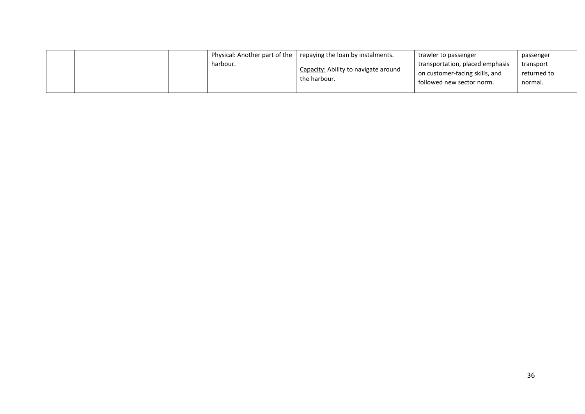|  | Physical: Another part of the<br>harbour. | repaying the loan by instalments.<br>Capacity: Ability to navigate around<br>the harbour. | trawler to passenger<br>transportation, placed emphasis<br>on customer-facing skills, and<br>followed new sector norm. | passenger<br>transport<br>returned to<br>normal. |
|--|-------------------------------------------|-------------------------------------------------------------------------------------------|------------------------------------------------------------------------------------------------------------------------|--------------------------------------------------|
|--|-------------------------------------------|-------------------------------------------------------------------------------------------|------------------------------------------------------------------------------------------------------------------------|--------------------------------------------------|